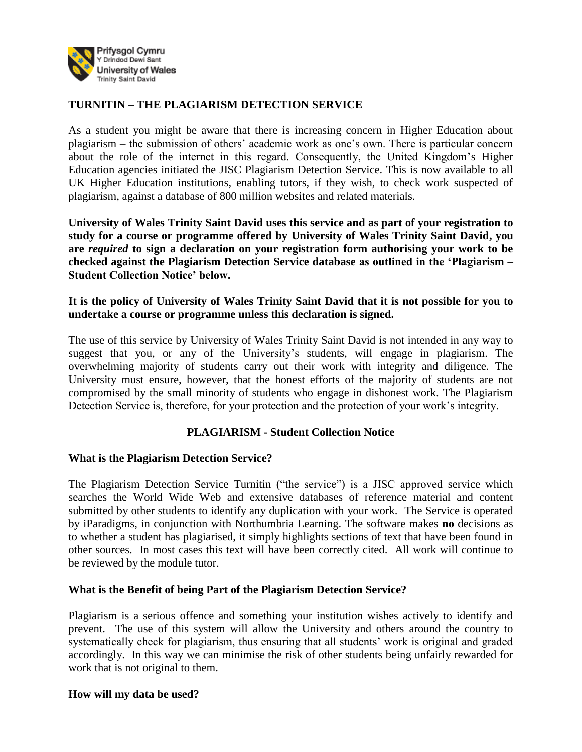

## **TURNITIN – THE PLAGIARISM DETECTION SERVICE**

As a student you might be aware that there is increasing concern in Higher Education about plagiarism – the submission of others' academic work as one's own. There is particular concern about the role of the internet in this regard. Consequently, the United Kingdom's Higher Education agencies initiated the JISC Plagiarism Detection Service. This is now available to all UK Higher Education institutions, enabling tutors, if they wish, to check work suspected of plagiarism, against a database of 800 million websites and related materials.

**University of Wales Trinity Saint David uses this service and as part of your registration to study for a course or programme offered by University of Wales Trinity Saint David, you are** *required* **to sign a declaration on your registration form authorising your work to be checked against the Plagiarism Detection Service database as outlined in the 'Plagiarism – Student Collection Notice' below.**

### **It is the policy of University of Wales Trinity Saint David that it is not possible for you to undertake a course or programme unless this declaration is signed.**

The use of this service by University of Wales Trinity Saint David is not intended in any way to suggest that you, or any of the University's students, will engage in plagiarism. The overwhelming majority of students carry out their work with integrity and diligence. The University must ensure, however, that the honest efforts of the majority of students are not compromised by the small minority of students who engage in dishonest work. The Plagiarism Detection Service is, therefore, for your protection and the protection of your work's integrity.

# **PLAGIARISM - Student Collection Notice**

#### **What is the Plagiarism Detection Service?**

The Plagiarism Detection Service Turnitin ("the service") is a JISC approved service which searches the World Wide Web and extensive databases of reference material and content submitted by other students to identify any duplication with your work. The Service is operated by iParadigms, in conjunction with Northumbria Learning. The software makes **no** decisions as to whether a student has plagiarised, it simply highlights sections of text that have been found in other sources. In most cases this text will have been correctly cited. All work will continue to be reviewed by the module tutor.

#### **What is the Benefit of being Part of the Plagiarism Detection Service?**

Plagiarism is a serious offence and something your institution wishes actively to identify and prevent. The use of this system will allow the University and others around the country to systematically check for plagiarism, thus ensuring that all students' work is original and graded accordingly. In this way we can minimise the risk of other students being unfairly rewarded for work that is not original to them.

#### **How will my data be used?**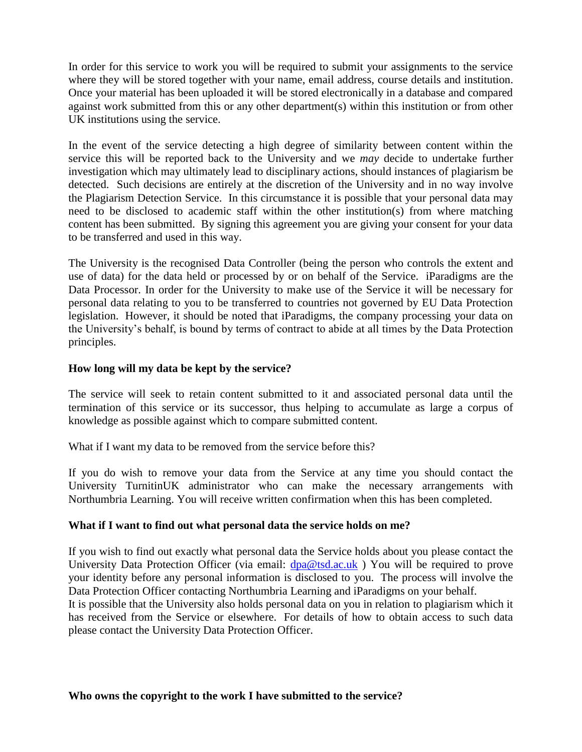In order for this service to work you will be required to submit your assignments to the service where they will be stored together with your name, email address, course details and institution. Once your material has been uploaded it will be stored electronically in a database and compared against work submitted from this or any other department(s) within this institution or from other UK institutions using the service.

In the event of the service detecting a high degree of similarity between content within the service this will be reported back to the University and we *may* decide to undertake further investigation which may ultimately lead to disciplinary actions, should instances of plagiarism be detected. Such decisions are entirely at the discretion of the University and in no way involve the Plagiarism Detection Service. In this circumstance it is possible that your personal data may need to be disclosed to academic staff within the other institution(s) from where matching content has been submitted. By signing this agreement you are giving your consent for your data to be transferred and used in this way.

The University is the recognised Data Controller (being the person who controls the extent and use of data) for the data held or processed by or on behalf of the Service. iParadigms are the Data Processor. In order for the University to make use of the Service it will be necessary for personal data relating to you to be transferred to countries not governed by EU Data Protection legislation. However, it should be noted that iParadigms, the company processing your data on the University's behalf, is bound by terms of contract to abide at all times by the Data Protection principles.

### **How long will my data be kept by the service?**

The service will seek to retain content submitted to it and associated personal data until the termination of this service or its successor, thus helping to accumulate as large a corpus of knowledge as possible against which to compare submitted content.

What if I want my data to be removed from the service before this?

If you do wish to remove your data from the Service at any time you should contact the University TurnitinUK administrator who can make the necessary arrangements with Northumbria Learning. You will receive written confirmation when this has been completed.

# **What if I want to find out what personal data the service holds on me?**

If you wish to find out exactly what personal data the Service holds about you please contact the University Data Protection Officer (via email:  $dpa@tsd.ac.uk$ ) You will be required to prove your identity before any personal information is disclosed to you. The process will involve the Data Protection Officer contacting Northumbria Learning and iParadigms on your behalf.

It is possible that the University also holds personal data on you in relation to plagiarism which it has received from the Service or elsewhere. For details of how to obtain access to such data please contact the University Data Protection Officer.